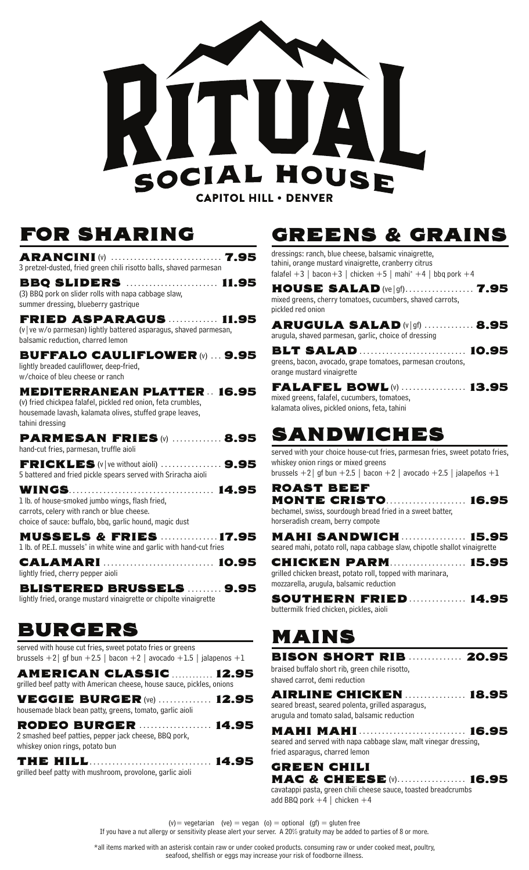

### FOR SHARING

| <b>ARANCINI (V)  7.95</b><br>3 pretzel-dusted, fried green chili risotto balls, shaved parmesan                                                                                    |
|------------------------------------------------------------------------------------------------------------------------------------------------------------------------------------|
| (3) BBQ pork on slider rolls with napa cabbage slaw,<br>summer dressing, blueberry gastrique                                                                                       |
| (v   ve w/o parmesan) lightly battered asparagus, shaved parmesan,<br>balsamic reduction, charred lemon                                                                            |
| <b>BUFFALO CAULIFLOWER M 9.95</b><br>lightly breaded cauliflower, deep-fried,<br>w/choice of bleu cheese or ranch                                                                  |
| <b>MEDITERRANEAN PLATTER 16.95</b><br>(v) fried chickpea falafel, pickled red onion, feta crumbles,<br>housemade lavash, kalamata olives, stuffed grape leaves,<br>tahini dressing |
| <b>PARMESAN FRIES (v)  8.95</b><br>hand-cut fries, parmesan, truffle aioli                                                                                                         |
| <b>FRICKLES</b> (v ve without aioli)  9.95<br>5 battered and fried pickle spears served with Sriracha aioli                                                                        |
| 1 lb. of house-smoked jumbo wings, flash fried,<br>carrots, celery with ranch or blue cheese.<br>choice of sauce: buffalo, bbq, garlic hound, magic dust                           |
| <b>MUSSELS &amp; FRIES  17.95</b><br>1 lb. of P.E.I. mussels <sup>*</sup> in white wine and garlic with hand-cut fries                                                             |
| lightly fried, cherry pepper aioli                                                                                                                                                 |
| <b>BLISTERED BRUSSELS  9.95</b><br>lightly fried, orange mustard vinaigrette or chipolte vinaigrette                                                                               |
| <b>BURGERS</b>                                                                                                                                                                     |
| served with house cut fries, sweet potato fries or greens<br>brussels $+2$   gf bun $+2.5$   bacon $+2$   avocado $+1.5$   jalapenos $+1$                                          |
| AMEDICAN CLASSIC<br>12 Q.                                                                                                                                                          |

| AMERICAN CLASSIC  12.95                                               |  |
|-----------------------------------------------------------------------|--|
| grilled beef patty with American cheese, house sauce, pickles, onions |  |
| <b>VEGGIE BURGER (Ve)  12.95</b>                                      |  |
| housemade black bean patty, greens, tomato, garlic aioli              |  |
|                                                                       |  |

RODEO BURGER .................. 14.95 2 smashed beef patties, pepper jack cheese, BBQ pork, whiskey onion rings, potato bun

THE HILL. . . . . . . . . . . . . . . . . . . . . . . . . . . . . . . . 14.95 grilled beef patty with mushroom, provolone, garlic aioli

## GREENS & GRAINS

dressings: ranch, blue cheese, balsamic vinaigrette, tahini, orange mustard vinaigrette, cranberry citrus falafel  $+3$  | bacon $+3$  | chicken  $+5$  | mahi<sup>\*</sup>  $+4$  | bbq pork  $+4$ 

**HOUSE SALAD** (velgf)................... 7.95 mixed greens, cherry tomatoes, cucumbers, shaved carrots, pickled red onion

**ARUGULA SALAD (v|gf) ............. 8.95** arugula, shaved parmesan, garlic, choice of dressing

BLT SALAD . . . . . . . . . . . . . . . . . . . . . . . . . . . . 10.95 greens, bacon, avocado, grape tomatoes, parmesan croutons, orange mustard vinaigrette

**FALAFEL BOWL (V) ................. 13.95** mixed greens, falafel, cucumbers, tomatoes, kalamata olives, pickled onions, feta, tahini

### SANDWICHES

served with your choice house-cut fries, parmesan fries, sweet potato fries, whiskey onion rings or mixed greens brussels  $+2$  | gf bun  $+2.5$  | bacon  $+2$  | avocado  $+2.5$  | jalapeños  $+1$ 

ROAST BEEF **MONTE CRISTO................... 16.95** bechamel, swiss, sourdough bread fried in a sweet batter, horseradish cream, berry compote

**MAHI SANDWICH ................ 15.95** seared mahi, potato roll, napa cabbage slaw, chipotle shallot vinaigrette

**CHICKEN PARM................... 15.95** grilled chicken breast, potato roll, topped with marinara, mozzarella, arugula, balsamic reduction

SOUTHERN FRIED .............. 14.95 buttermilk fried chicken, pickles, aioli

## MAINS

BISON SHORT RIB .............. 20.95 braised buffalo short rib, green chile risotto, shaved carrot, demi reduction

AIRLINE CHICKEN ............... 18.95 seared breast, seared polenta, grilled asparagus,

arugula and tomato salad, balsamic reduction

MAHI MAHI .............................. 16.95 seared and served with napa cabbage slaw, malt vinegar dressing, fried asparagus, charred lemon

#### GREEN CHILI **MAC & CHEESE (V).................. 16.95** cavatappi pasta, green chili cheese sauce, toasted breadcrumbs add BBQ pork  $+4$  | chicken  $+4$

(v) = vegetarian (ve) = vegan (o) = optional (gf) = gluten free

If you have a nut allergy or sensitivity please alert your server. A 20% gratuity may be added to parties of 8 or more.

\*all items marked with an asterisk contain raw or under cooked products. consuming raw or under cooked meat, poultry, seafood, shellfish or eggs may increase your risk of foodborne illness.